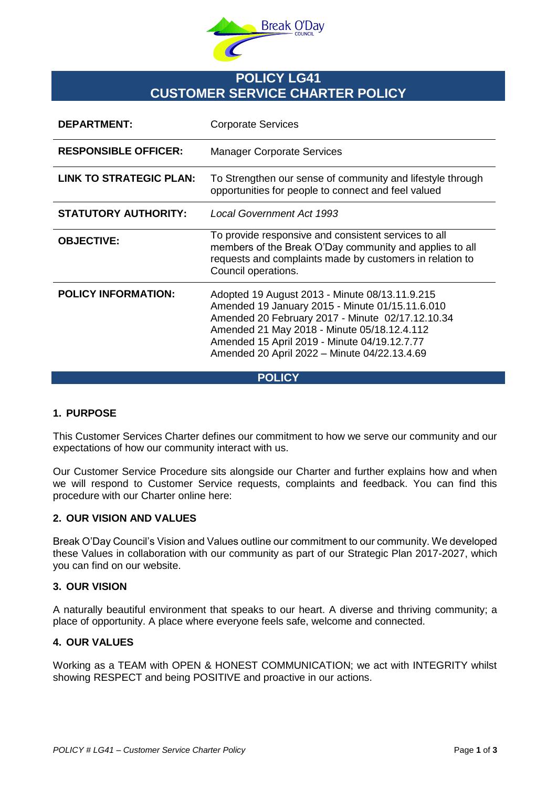

# **POLICY LG41 CUSTOMER SERVICE CHARTER POLICY**

| <b>DEPARTMENT:</b>             | <b>Corporate Services</b>                                                                                                                                                                                                                                                                            |
|--------------------------------|------------------------------------------------------------------------------------------------------------------------------------------------------------------------------------------------------------------------------------------------------------------------------------------------------|
| <b>RESPONSIBLE OFFICER:</b>    | <b>Manager Corporate Services</b>                                                                                                                                                                                                                                                                    |
| <b>LINK TO STRATEGIC PLAN:</b> | To Strengthen our sense of community and lifestyle through<br>opportunities for people to connect and feel valued                                                                                                                                                                                    |
| <b>STATUTORY AUTHORITY:</b>    | <b>Local Government Act 1993</b>                                                                                                                                                                                                                                                                     |
| <b>OBJECTIVE:</b>              | To provide responsive and consistent services to all<br>members of the Break O'Day community and applies to all<br>requests and complaints made by customers in relation to<br>Council operations.                                                                                                   |
| <b>POLICY INFORMATION:</b>     | Adopted 19 August 2013 - Minute 08/13.11.9.215<br>Amended 19 January 2015 - Minute 01/15.11.6.010<br>Amended 20 February 2017 - Minute 02/17.12.10.34<br>Amended 21 May 2018 - Minute 05/18.12.4.112<br>Amended 15 April 2019 - Minute 04/19.12.7.77<br>Amended 20 April 2022 - Minute 04/22.13.4.69 |

**POLICY**

## **1. PURPOSE**

This Customer Services Charter defines our commitment to how we serve our community and our expectations of how our community interact with us.

Our Customer Service Procedure sits alongside our Charter and further explains how and when we will respond to Customer Service requests, complaints and feedback. You can find this procedure with our Charter online here:

## **2. OUR VISION AND VALUES**

Break O'Day Council's Vision and Values outline our commitment to our community. We developed these Values in collaboration with our community as part of our Strategic Plan 2017-2027, which you can find on our website.

#### **3. OUR VISION**

A naturally beautiful environment that speaks to our heart. A diverse and thriving community; a place of opportunity. A place where everyone feels safe, welcome and connected.

# **4. OUR VALUES**

Working as a TEAM with OPEN & HONEST COMMUNICATION; we act with INTEGRITY whilst showing RESPECT and being POSITIVE and proactive in our actions.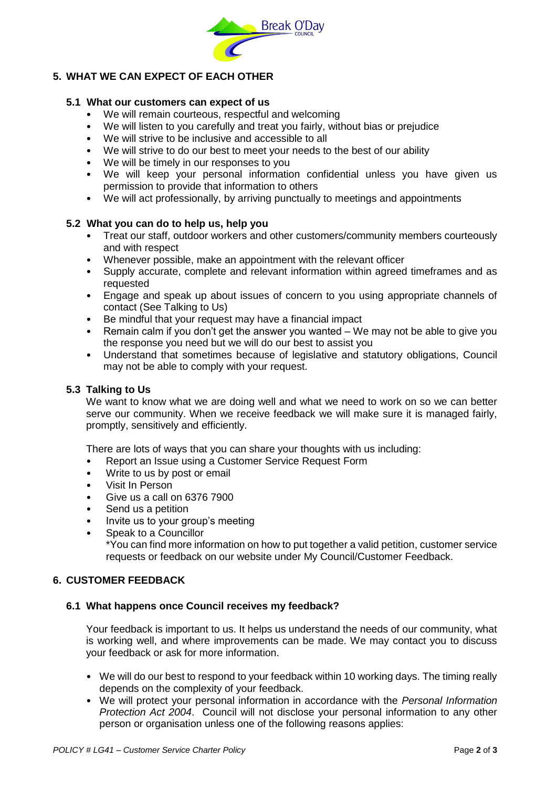

# **5. WHAT WE CAN EXPECT OF EACH OTHER**

### **5.1 What our customers can expect of us**

- We will remain courteous, respectful and welcoming
- We will listen to you carefully and treat you fairly, without bias or prejudice
- We will strive to be inclusive and accessible to all
- We will strive to do our best to meet your needs to the best of our ability
- We will be timely in our responses to you
- We will keep your personal information confidential unless you have given us permission to provide that information to others
- We will act professionally, by arriving punctually to meetings and appointments

#### **5.2 What you can do to help us, help you**

- Treat our staff, outdoor workers and other customers/community members courteously and with respect
- Whenever possible, make an appointment with the relevant officer
- Supply accurate, complete and relevant information within agreed timeframes and as requested
- Engage and speak up about issues of concern to you using appropriate channels of contact (See Talking to Us)
- Be mindful that your request may have a financial impact
- Remain calm if you don't get the answer you wanted We may not be able to give you the response you need but we will do our best to assist you
- Understand that sometimes because of legislative and statutory obligations, Council may not be able to comply with your request.

#### **5.3 Talking to Us**

We want to know what we are doing well and what we need to work on so we can better serve our community. When we receive feedback we will make sure it is managed fairly, promptly, sensitively and efficiently.

There are lots of ways that you can share your thoughts with us including:

- Report an Issue using a Customer Service Request Form
- Write to us by post or email
- Visit In Person
- Give us a call on 6376 7900
- Send us a petition
- Invite us to your group's meeting
- Speak to a Councillor

\*You can find more information on how to put together a valid petition, customer service requests or feedback on our website under My Council/Customer Feedback.

# **6. CUSTOMER FEEDBACK**

#### **6.1 What happens once Council receives my feedback?**

Your feedback is important to us. It helps us understand the needs of our community, what is working well, and where improvements can be made. We may contact you to discuss your feedback or ask for more information.

- We will do our best to respond to your feedback within 10 working days. The timing really depends on the complexity of your feedback.
- We will protect your personal information in accordance with the *Personal Information Protection Act 2004*. Council will not disclose your personal information to any other person or organisation unless one of the following reasons applies: